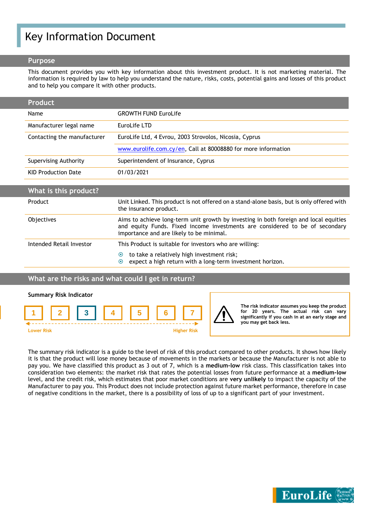# Key Information Document

#### **Purpose**

This document provides you with key information about this investment product. It is not marketing material. The information is required by law to help you understand the nature, risks, costs, potential gains and losses of this product and to help you compare it with other products.

| <b>Product</b>              |                                                               |
|-----------------------------|---------------------------------------------------------------|
| Name                        | <b>GROWTH FUND EuroLife</b>                                   |
| Manufacturer legal name     | EuroLife LTD                                                  |
| Contacting the manufacturer | EuroLife Ltd, 4 Evrou, 2003 Strovolos, Nicosia, Cyprus        |
|                             | www.eurolife.com.cy/en, Call at 80008880 for more information |
| Supervising Authority       | Superintendent of Insurance, Cyprus                           |
| <b>KID Production Date</b>  | 01/03/2021                                                    |

| What is this product?    |                                                                                                                                                                                                                   |
|--------------------------|-------------------------------------------------------------------------------------------------------------------------------------------------------------------------------------------------------------------|
| Product                  | Unit Linked. This product is not offered on a stand-alone basis, but is only offered with<br>the insurance product.                                                                                               |
| <b>Objectives</b>        | Aims to achieve long-term unit growth by investing in both foreign and local equities<br>and equity Funds. Fixed income investments are considered to be of secondary<br>importance and are likely to be minimal. |
| Intended Retail Investor | This Product is suitable for investors who are willing:<br>to take a relatively high investment risk;<br>$\odot$<br>expect a high return with a long-term investment horizon.<br>$\odot$                          |

# **What are the risks and what could I get in return?**



The summary risk indicator is a guide to the level of risk of this product compared to other products. It shows how likely it is that the product will lose money because of movements in the markets or because the Manufacturer is not able to pay you. We have classified this product as 3 out of 7, which is a **medium-low** risk class. This classification takes into consideration two elements: the market risk that rates the potential losses from future performance at a **medium-low** level, and the credit risk, which estimates that poor market conditions are **very unlikely** to impact the capacity of the Manufacturer to pay you. This Product does not include protection against future market performance, therefore in case of negative conditions in the market, there is a possibility of loss of up to a significant part of your investment.

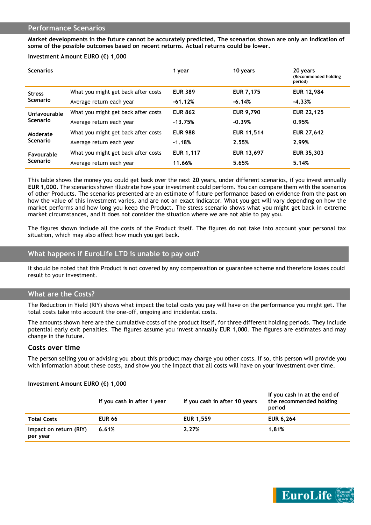#### **Performance Scenarios**

**Market developments in the future cannot be accurately predicted. The scenarios shown are only an indication of some of the possible outcomes based on recent returns. Actual returns could be lower.**

#### **Investment Amount EURO (€) 1,000**

| <b>Scenarios</b>                 |                                     | 1 year           | 10 years          | 20 years<br>(Recommended holding<br>period) |
|----------------------------------|-------------------------------------|------------------|-------------------|---------------------------------------------|
| <b>Stress</b><br><b>Scenario</b> | What you might get back after costs | <b>EUR 389</b>   | <b>EUR 7,175</b>  | <b>EUR 12,984</b>                           |
|                                  | Average return each year            | $-61.12%$        | $-6.14%$          | $-4.33%$                                    |
| Unfavourable<br><b>Scenario</b>  | What you might get back after costs | <b>EUR 862</b>   | <b>EUR 9,790</b>  | <b>EUR 22,125</b>                           |
|                                  | Average return each year            | $-13.75%$        | $-0.39%$          | 0.95%                                       |
| Moderate<br><b>Scenario</b>      | What you might get back after costs | <b>EUR 988</b>   | <b>EUR 11,514</b> | <b>EUR 27,642</b>                           |
|                                  | Average return each year            | $-1.18%$         | 2.55%             | 2.99%                                       |
| Favourable<br><b>Scenario</b>    | What you might get back after costs | <b>EUR 1,117</b> | EUR 13,697        | <b>EUR 35,303</b>                           |
|                                  | Average return each year            | 11.66%           | 5.65%             | 5.14%                                       |
|                                  |                                     |                  |                   |                                             |

This table shows the money you could get back over the next **20** years, under different scenarios, if you invest annually **EUR 1,000**. The scenarios shown illustrate how your investment could perform. You can compare them with the scenarios of other Products. The scenarios presented are an estimate of future performance based on evidence from the past on how the value of this investment varies, and are not an exact indicator. What you get will vary depending on how the market performs and how long you keep the Product. The stress scenario shows what you might get back in extreme market circumstances, and it does not consider the situation where we are not able to pay you.

The figures shown include all the costs of the Product itself. The figures do not take into account your personal tax situation, which may also affect how much you get back.

# **What happens if EuroLife LTD is unable to pay out?**

It should be noted that this Product is not covered by any compensation or guarantee scheme and therefore losses could result to your investment.

# **What are the Costs?**

The Reduction in Yield (RIY) shows what impact the total costs you pay will have on the performance you might get. The total costs take into account the one-off, ongoing and incidental costs.

The amounts shown here are the cumulative costs of the product itself, for three different holding periods. They include potential early exit penalties. The figures assume you invest annually EUR 1,000. The figures are estimates and may change in the future.

#### **Costs over time**

The person selling you or advising you about this product may charge you other costs. If so, this person will provide you with information about these costs, and show you the impact that all costs will have on your investment over time.

#### **Investment Amount EURO (€) 1,000**

|                                    | If you cash in after 1 year | If you cash in after 10 years | If you cash in at the end of<br>the recommended holding<br>period |
|------------------------------------|-----------------------------|-------------------------------|-------------------------------------------------------------------|
| <b>Total Costs</b>                 | <b>EUR 66</b>               | <b>EUR 1,559</b>              | <b>EUR 6,264</b>                                                  |
| Impact on return (RIY)<br>per year | 6.61%                       | 2.27%                         | 1.81%                                                             |